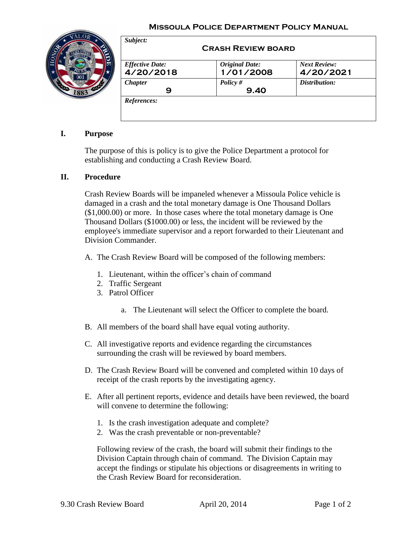## **Missoula Police Department Policy Manual**



| <b>Effective Date:</b> | <b>Original Date:</b> | <b>Next Review:</b> |
|------------------------|-----------------------|---------------------|
| 4/20/2018              | 1/01/2008             | 4/20/2021           |
| <b>Chapter</b>         | Policy $#$            | Distribution:       |
| 9                      | 9.40                  |                     |

## **I. Purpose**

The purpose of this is policy is to give the Police Department a protocol for establishing and conducting a Crash Review Board.

## **II. Procedure**

Crash Review Boards will be impaneled whenever a Missoula Police vehicle is damaged in a crash and the total monetary damage is One Thousand Dollars (\$1,000.00) or more. In those cases where the total monetary damage is One Thousand Dollars (\$1000.00) or less, the incident will be reviewed by the employee's immediate supervisor and a report forwarded to their Lieutenant and Division Commander.

A. The Crash Review Board will be composed of the following members:

- 1. Lieutenant, within the officer's chain of command
- 2. Traffic Sergeant
- 3. Patrol Officer
	- a. The Lieutenant will select the Officer to complete the board.
- B. All members of the board shall have equal voting authority.
- C. All investigative reports and evidence regarding the circumstances surrounding the crash will be reviewed by board members.
- D. The Crash Review Board will be convened and completed within 10 days of receipt of the crash reports by the investigating agency.
- E. After all pertinent reports, evidence and details have been reviewed, the board will convene to determine the following:
	- 1. Is the crash investigation adequate and complete?
	- 2. Was the crash preventable or non-preventable?

Following review of the crash, the board will submit their findings to the Division Captain through chain of command. The Division Captain may accept the findings or stipulate his objections or disagreements in writing to the Crash Review Board for reconsideration.